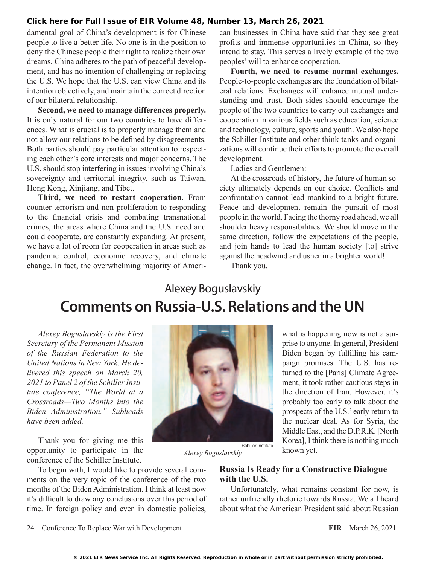## **[Click here for Full Issue of EIR Volume 48, Number 13, March 26, 2021](http://www.larouchepub.com/eiw/public/2021/eirv48n13-20210326/index.html)**

damental goal of China's development is for Chinese people to live a better life. No one is in the position to deny the Chinese people their right to realize their own dreams. China adheres to the path of peaceful development, and has no intention of challenging or replacing the U.S. We hope that the U.S. can view China and its intention objectively, and maintain the correct direction of our bilateral relationship.

**Second, we need to manage differences properly.** It is only natural for our two countries to have differences. What is crucial is to properly manage them and not allow our relations to be defined by disagreements. Both parties should pay particular attention to respecting each other's core interests and major concerns. The U.S. should stop interfering in issues involving China's sovereignty and territorial integrity, such as Taiwan, Hong Kong, Xinjiang, and Tibet.

**Third, we need to restart cooperation.** From counter-terrorism and non-proliferation to responding to the financial crisis and combating transnational crimes, the areas where China and the U.S. need and could cooperate, are constantly expanding. At present, we have a lot of room for cooperation in areas such as pandemic control, economic recovery, and climate change. In fact, the overwhelming majority of American businesses in China have said that they see great profits and immense opportunities in China, so they intend to stay. This serves a lively example of the two peoples' will to enhance cooperation.

**Fourth, we need to resume normal exchanges.** People-to-people exchanges are the foundation of bilateral relations. Exchanges will enhance mutual understanding and trust. Both sides should encourage the people of the two countries to carry out exchanges and cooperation in various fields such as education, science and technology, culture, sports and youth. We also hope the Schiller Institute and other think tanks and organizations will continue their efforts to promote the overall development.

Ladies and Gentlemen:

At the crossroads of history, the future of human society ultimately depends on our choice. Conflicts and confrontation cannot lead mankind to a bright future. Peace and development remain the pursuit of most people in the world. Facing the thorny road ahead, we all shoulder heavy responsibilities. We should move in the same direction, follow the expectations of the people, and join hands to lead the human society [to] strive against the headwind and usher in a brighter world!

Thank you.

## Alexey Boguslavskiy **Comments on Russia-U.S. Relations and the UN**

*Alexey Boguslavskiy is the First Secretary of the Permanent Mission of the Russian Federation to the United Nations in New York. He delivered this speech on March 20, 2021 to Panel 2 of the Schiller Institute conference, "The World at a Crossroads—Two Months into the Biden Administration." Subheads have been added.*

Thank you for giving me this opportunity to participate in the conference of the Schiller Institute.

To begin with, I would like to provide several comments on the very topic of the conference of the two months of the Biden Administration. I think at least now it's difficult to draw any conclusions over this period of time. In foreign policy and even in domestic policies,



*Alexey Boguslavskiy*

**Russia Is Ready for a Constructive Dialogue with the U.S.**

known yet.

Unfortunately, what remains constant for now, is rather unfriendly rhetoric towards Russia. We all heard about what the American President said about Russian

24 Conference To Replace War with Development **EIR** March 26, 2021